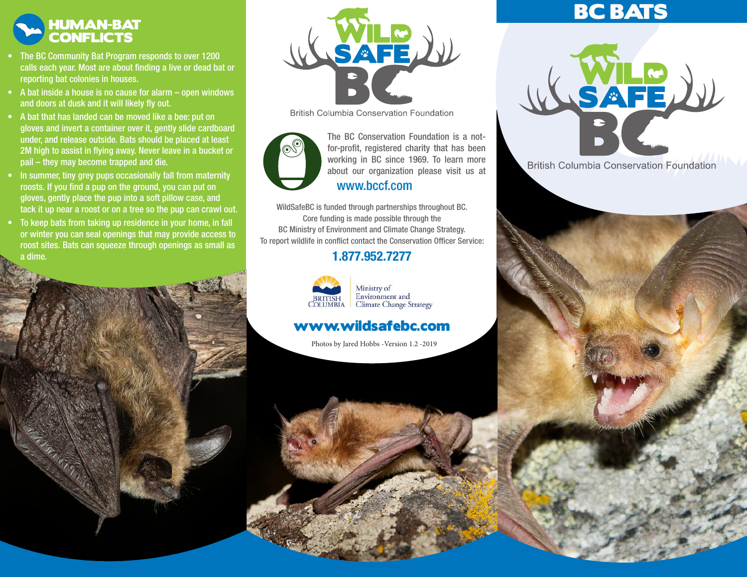

- The BC Community Bat Program responds to over 1200 calls each year. Most are about finding a live or dead bat or reporting bat colonies in houses.
- A bat inside a house is no cause for alarm open windows and doors at dusk and it will likely fly out.
- A bat that has landed can be moved like a bee: put on gloves and invert a container over it, gently slide cardboard under, and release outside. Bats should be placed at least 2M high to assist in flying away. Never leave in a bucket or pail – they may become trapped and die.
- In summer, tiny grey pups occasionally fall from maternity roosts. If you find a pup on the ground, you can put on gloves, gently place the pup into a soft pillow case, and tack it up near a roost or on a tree so the pup can crawl out.
- To keep bats from taking up residence in your home, in fall or winter you can seal openings that may provide access to roost sites. Bats can squeeze through openings as small as a dime.



**British Columbia Conservation Foundation** 



working in BC since 1969. To learn more about our organization please visit us at The BC Conservation Foundation is a notfor-profit, registered charity that has been www.bccf.com

WildSafeBC is funded through partnerships throughout BC. Core funding is made possible through the BC Ministry of Environment and Climate Change Strategy. To report wildlife in conflict contact the Conservation Officer Service:

### 1.877.952.7277



Ministry of Environment and<br>Climate Change Strategy

## www.wildsafebc.com

Photos by Jared Hobbs -Version 1.2 -2019

# BC BATS



**British Columbia Conservation Foundation**